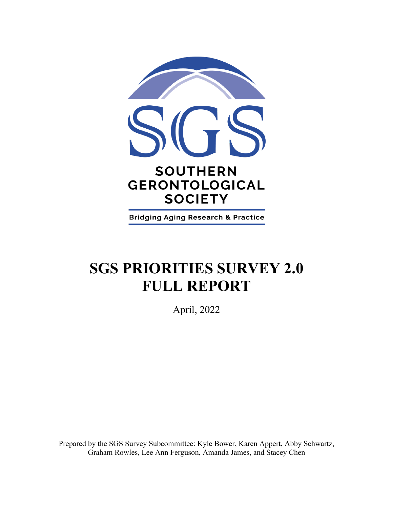

**Bridging Aging Research & Practice** 

# **SGS PRIORITIES SURVEY 2.0 FULL REPORT**

April, 2022

Prepared by the SGS Survey Subcommittee: Kyle Bower, Karen Appert, Abby Schwartz, Graham Rowles, Lee Ann Ferguson, Amanda James, and Stacey Chen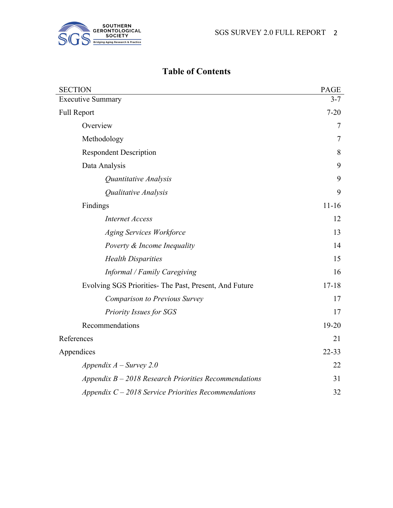

# **Table of Contents**

| <b>SECTION</b>                                          | <b>PAGE</b> |
|---------------------------------------------------------|-------------|
| <b>Executive Summary</b>                                | $3 - 7$     |
| <b>Full Report</b>                                      | $7 - 20$    |
| Overview                                                | 7           |
| Methodology                                             | 7           |
| <b>Respondent Description</b>                           | 8           |
| Data Analysis                                           | 9           |
| Quantitative Analysis                                   | 9           |
| Qualitative Analysis                                    | 9           |
| Findings                                                | $11 - 16$   |
| <b>Internet Access</b>                                  | 12          |
| <b>Aging Services Workforce</b>                         | 13          |
| Poverty & Income Inequality                             | 14          |
| <b>Health Disparities</b>                               | 15          |
| Informal / Family Caregiving                            | 16          |
| Evolving SGS Priorities- The Past, Present, And Future  | $17 - 18$   |
| <b>Comparison to Previous Survey</b>                    | 17          |
| Priority Issues for SGS                                 | 17          |
| Recommendations                                         | 19-20       |
| References                                              | 21          |
| Appendices                                              | $22 - 33$   |
| Appendix $A$ – Survey 2.0                               | 22          |
| Appendix $B - 2018$ Research Priorities Recommendations | 31          |
| Appendix $C - 2018$ Service Priorities Recommendations  | 32          |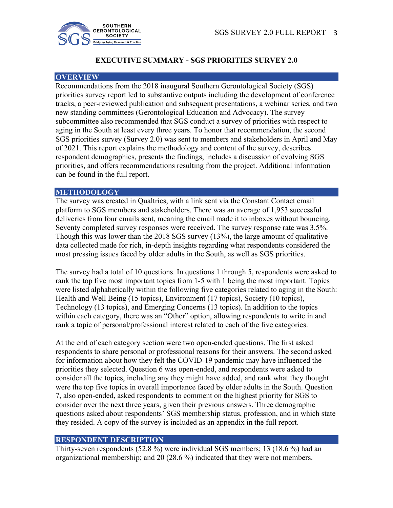

## **EXECUTIVE SUMMARY - SGS PRIORITIES SURVEY 2.0**

#### **OVERVIEW**

Recommendations from the 2018 inaugural Southern Gerontological Society (SGS) priorities survey report led to substantive outputs including the development of conference tracks, a peer-reviewed publication and subsequent presentations, a webinar series, and two new standing committees (Gerontological Education and Advocacy). The survey subcommittee also recommended that SGS conduct a survey of priorities with respect to aging in the South at least every three years. To honor that recommendation, the second SGS priorities survey (Survey 2.0) was sent to members and stakeholders in April and May of 2021. This report explains the methodology and content of the survey, describes respondent demographics, presents the findings, includes a discussion of evolving SGS priorities, and offers recommendations resulting from the project. Additional information can be found in the full report.

#### **METHODOLOGY**

The survey was created in Qualtrics, with a link sent via the Constant Contact email platform to SGS members and stakeholders. There was an average of 1,953 successful deliveries from four emails sent, meaning the email made it to inboxes without bouncing. Seventy completed survey responses were received. The survey response rate was 3.5%. Though this was lower than the 2018 SGS survey (13%), the large amount of qualitative data collected made for rich, in-depth insights regarding what respondents considered the most pressing issues faced by older adults in the South, as well as SGS priorities.

The survey had a total of 10 questions. In questions 1 through 5, respondents were asked to rank the top five most important topics from 1-5 with 1 being the most important. Topics were listed alphabetically within the following five categories related to aging in the South: Health and Well Being (15 topics), Environment (17 topics), Society (10 topics), Technology (13 topics), and Emerging Concerns (13 topics). In addition to the topics within each category, there was an "Other" option, allowing respondents to write in and rank a topic of personal/professional interest related to each of the five categories.

At the end of each category section were two open-ended questions. The first asked respondents to share personal or professional reasons for their answers. The second asked for information about how they felt the COVID-19 pandemic may have influenced the priorities they selected. Question 6 was open-ended, and respondents were asked to consider all the topics, including any they might have added, and rank what they thought were the top five topics in overall importance faced by older adults in the South. Question 7, also open-ended, asked respondents to comment on the highest priority for SGS to consider over the next three years, given their previous answers. Three demographic questions asked about respondents' SGS membership status, profession, and in which state they resided. A copy of the survey is included as an appendix in the full report.

#### **RESPONDENT DESCRIPTION**

Thirty-seven respondents (52.8 %) were individual SGS members; 13 (18.6 %) had an organizational membership; and 20 (28.6 %) indicated that they were not members.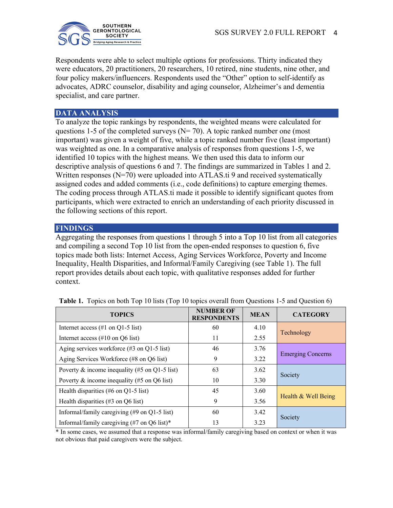

Respondents were able to select multiple options for professions. Thirty indicated they were educators, 20 practitioners, 20 researchers, 10 retired, nine students, nine other, and four policy makers/influencers. Respondents used the "Other" option to self-identify as advocates, ADRC counselor, disability and aging counselor, Alzheimer's and dementia specialist, and care partner.

#### **DATA ANALYSIS**

To analyze the topic rankings by respondents, the weighted means were calculated for questions 1-5 of the completed surveys ( $N= 70$ ). A topic ranked number one (most important) was given a weight of five, while a topic ranked number five (least important) was weighted as one. In a comparative analysis of responses from questions 1-5, we identified 10 topics with the highest means. We then used this data to inform our descriptive analysis of questions 6 and 7. The findings are summarized in Tables 1 and 2. Written responses (N=70) were uploaded into ATLAS.ti 9 and received systematically assigned codes and added comments (i.e., code definitions) to capture emerging themes. The coding process through ATLAS.ti made it possible to identify significant quotes from participants, which were extracted to enrich an understanding of each priority discussed in the following sections of this report.

## **FINDINGS**

Aggregating the responses from questions 1 through 5 into a Top 10 list from all categories and compiling a second Top 10 list from the open-ended responses to question 6, five topics made both lists: Internet Access, Aging Services Workforce, Poverty and Income Inequality, Health Disparities, and Informal/Family Caregiving (see Table 1). The full report provides details about each topic, with qualitative responses added for further context.

| <b>TOPICS</b>                                                           | <b>NUMBER OF</b><br><b>RESPONDENTS</b> | <b>MEAN</b> | <b>CATEGORY</b>          |
|-------------------------------------------------------------------------|----------------------------------------|-------------|--------------------------|
| Internet access $(\#1 \text{ on } Q1-5 \text{ list})$                   | 60                                     | 4.10        |                          |
| Internet access $(\#10 \text{ on } Q6 \text{ list})$                    | 11                                     | 2.55        | Technology               |
| Aging services workforce $(\#3 \text{ on } Q1-5 \text{ list})$          | 46                                     | 3.76        |                          |
| Aging Services Workforce (#8 on Q6 list)                                | 9                                      | 3.22        | <b>Emerging Concerns</b> |
| Poverty & income inequality (#5 on Q1-5 list)                           | 63                                     | 3.62        |                          |
| Poverty & income inequality (#5 on Q6 list)                             | 10                                     | 3.30        | Society                  |
| Health disparities (#6 on $Q1-5$ list)                                  | 45                                     | 3.60        |                          |
| Health disparities $(\#3 \text{ on } Q6 \text{ list})$                  | 9                                      | 3.56        | Health & Well Being      |
| Informal/family caregiving $(\text{\#}9 \text{ on } Q1-5 \text{ list})$ | 60                                     | 3.42        |                          |
| Informal/family caregiving (#7 on Q6 list)*                             | 13                                     | 3.23        | Society                  |

**Table 1.** Topics on both Top 10 lists (Top 10 topics overall from Questions 1-5 and Question 6)

\* In some cases, we assumed that a response was informal/family caregiving based on context or when it was not obvious that paid caregivers were the subject.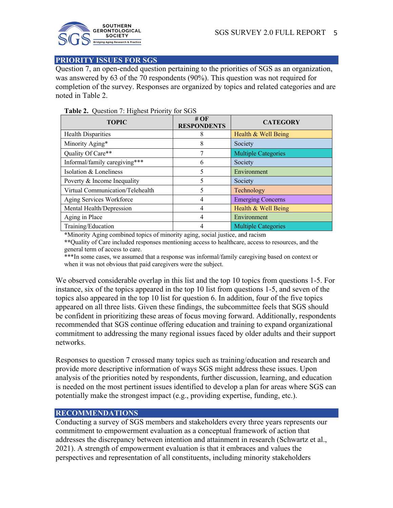

#### **PRIORITY ISSUES FOR SGS**

Question 7, an open-ended question pertaining to the priorities of SGS as an organization, was answered by 63 of the 70 respondents (90%). This question was not required for completion of the survey. Responses are organized by topics and related categories and are noted in Table 2.

| ◯<br><b>TOPIC</b>                | # $OF$<br><b>RESPONDENTS</b> | <b>CATEGORY</b>            |
|----------------------------------|------------------------------|----------------------------|
| <b>Health Disparities</b>        | 8                            | Health & Well Being        |
| Minority Aging*                  | 8                            | Society                    |
| Quality Of Care**                | π                            | <b>Multiple Categories</b> |
| Informal/family caregiving***    | 6                            | Society                    |
| Isolation & Loneliness           | 5                            | Environment                |
| Poverty & Income Inequality      | 5                            | Society                    |
| Virtual Communication/Telehealth | 5                            | Technology                 |
| Aging Services Workforce         | 4                            | <b>Emerging Concerns</b>   |
| Mental Health/Depression         | 4                            | Health & Well Being        |
| Aging in Place                   | 4                            | Environment                |
| Training/Education               |                              | <b>Multiple Categories</b> |

#### **Table 2.** Question 7: Highest Priority for SGS

**\***Minority Aging combined topics of minority aging, social justice, and racism

**\*\***Quality of Care included responses mentioning access to healthcare, access to resources, and the general term of access to care.

\*\*\*In some cases, we assumed that a response was informal/family caregiving based on context or when it was not obvious that paid caregivers were the subject.

We observed considerable overlap in this list and the top 10 topics from questions 1-5. For instance, six of the topics appeared in the top 10 list from questions 1-5, and seven of the topics also appeared in the top 10 list for question 6. In addition, four of the five topics appeared on all three lists. Given these findings, the subcommittee feels that SGS should be confident in prioritizing these areas of focus moving forward. Additionally, respondents recommended that SGS continue offering education and training to expand organizational commitment to addressing the many regional issues faced by older adults and their support networks.

Responses to question 7 crossed many topics such as training/education and research and provide more descriptive information of ways SGS might address these issues. Upon analysis of the priorities noted by respondents, further discussion, learning, and education is needed on the most pertinent issues identified to develop a plan for areas where SGS can potentially make the strongest impact (e.g., providing expertise, funding, etc.).

## **RECOMMENDATIONS**

Conducting a survey of SGS members and stakeholders every three years represents our commitment to empowerment evaluation as a conceptual framework of action that addresses the discrepancy between intention and attainment in research (Schwartz et al., 2021). A strength of empowerment evaluation is that it embraces and values the perspectives and representation of all constituents, including minority stakeholders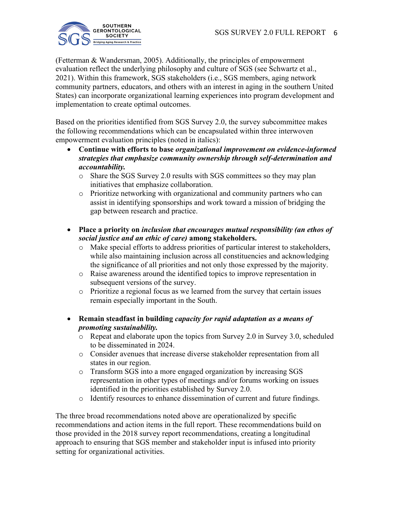

(Fetterman & Wandersman, 2005). Additionally, the principles of empowerment evaluation reflect the underlying philosophy and culture of SGS (see Schwartz et al., 2021). Within this framework, SGS stakeholders (i.e., SGS members, aging network community partners, educators, and others with an interest in aging in the southern United States) can incorporate organizational learning experiences into program development and implementation to create optimal outcomes.

Based on the priorities identified from SGS Survey 2.0, the survey subcommittee makes the following recommendations which can be encapsulated within three interwoven empowerment evaluation principles (noted in italics):

- **Continue with efforts to base** *organizational improvement on evidence-informed strategies that emphasize community ownership through self-determination and accountability.*
	- o Share the SGS Survey 2.0 results with SGS committees so they may plan initiatives that emphasize collaboration.
	- o Prioritize networking with organizational and community partners who can assist in identifying sponsorships and work toward a mission of bridging the gap between research and practice.
- **Place a priority on** *inclusion that encourages mutual responsibility (an ethos of social justice and an ethic of care)* **among stakeholders.**
	- o Make special efforts to address priorities of particular interest to stakeholders, while also maintaining inclusion across all constituencies and acknowledging the significance of all priorities and not only those expressed by the majority.
	- o Raise awareness around the identified topics to improve representation in subsequent versions of the survey.
	- o Prioritize a regional focus as we learned from the survey that certain issues remain especially important in the South.
- **Remain steadfast in building** *capacity for rapid adaptation as a means of promoting sustainability.*
	- Repeat and elaborate upon the topics from Survey 2.0 in Survey 3.0, scheduled to be disseminated in 2024.
	- o Consider avenues that increase diverse stakeholder representation from all states in our region.
	- o Transform SGS into a more engaged organization by increasing SGS representation in other types of meetings and/or forums working on issues identified in the priorities established by Survey 2.0.
	- o Identify resources to enhance dissemination of current and future findings.

The three broad recommendations noted above are operationalized by specific recommendations and action items in the full report. These recommendations build on those provided in the 2018 survey report recommendations, creating a longitudinal approach to ensuring that SGS member and stakeholder input is infused into priority setting for organizational activities.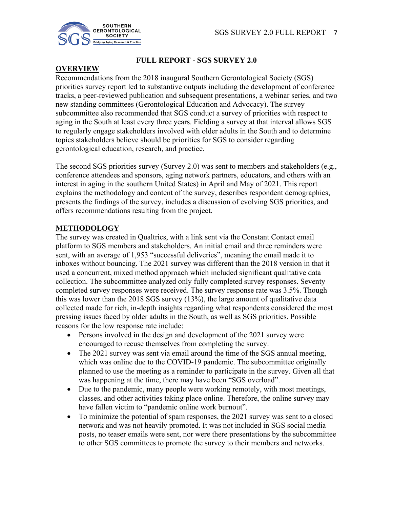

## **FULL REPORT - SGS SURVEY 2.0**

## **OVERVIEW**

Recommendations from the 2018 inaugural Southern Gerontological Society (SGS) priorities survey report led to substantive outputs including the development of conference tracks, a peer-reviewed publication and subsequent presentations, a webinar series, and two new standing committees (Gerontological Education and Advocacy). The survey subcommittee also recommended that SGS conduct a survey of priorities with respect to aging in the South at least every three years. Fielding a survey at that interval allows SGS to regularly engage stakeholders involved with older adults in the South and to determine topics stakeholders believe should be priorities for SGS to consider regarding gerontological education, research, and practice.

The second SGS priorities survey (Survey 2.0) was sent to members and stakeholders (e.g., conference attendees and sponsors, aging network partners, educators, and others with an interest in aging in the southern United States) in April and May of 2021. This report explains the methodology and content of the survey, describes respondent demographics, presents the findings of the survey, includes a discussion of evolving SGS priorities, and offers recommendations resulting from the project.

## **METHODOLOGY**

The survey was created in Qualtrics, with a link sent via the Constant Contact email platform to SGS members and stakeholders. An initial email and three reminders were sent, with an average of 1,953 "successful deliveries", meaning the email made it to inboxes without bouncing. The 2021 survey was different than the 2018 version in that it used a concurrent, mixed method approach which included significant qualitative data collection. The subcommittee analyzed only fully completed survey responses. Seventy completed survey responses were received. The survey response rate was 3.5%. Though this was lower than the 2018 SGS survey (13%), the large amount of qualitative data collected made for rich, in-depth insights regarding what respondents considered the most pressing issues faced by older adults in the South, as well as SGS priorities. Possible reasons for the low response rate include:

- Persons involved in the design and development of the 2021 survey were encouraged to recuse themselves from completing the survey.
- The 2021 survey was sent via email around the time of the SGS annual meeting, which was online due to the COVID-19 pandemic. The subcommittee originally planned to use the meeting as a reminder to participate in the survey. Given all that was happening at the time, there may have been "SGS overload".
- Due to the pandemic, many people were working remotely, with most meetings, classes, and other activities taking place online. Therefore, the online survey may have fallen victim to "pandemic online work burnout".
- To minimize the potential of spam responses, the 2021 survey was sent to a closed network and was not heavily promoted. It was not included in SGS social media posts, no teaser emails were sent, nor were there presentations by the subcommittee to other SGS committees to promote the survey to their members and networks.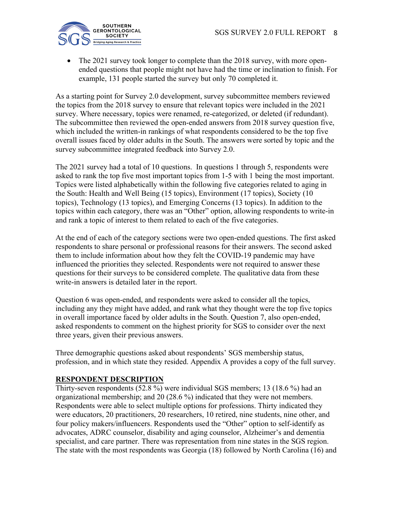

The 2021 survey took longer to complete than the 2018 survey, with more openended questions that people might not have had the time or inclination to finish. For example, 131 people started the survey but only 70 completed it.

As a starting point for Survey 2.0 development, survey subcommittee members reviewed the topics from the 2018 survey to ensure that relevant topics were included in the 2021 survey. Where necessary, topics were renamed, re-categorized, or deleted (if redundant). The subcommittee then reviewed the open-ended answers from 2018 survey question five, which included the written-in rankings of what respondents considered to be the top five overall issues faced by older adults in the South. The answers were sorted by topic and the survey subcommittee integrated feedback into Survey 2.0.

The 2021 survey had a total of 10 questions. In questions 1 through 5, respondents were asked to rank the top five most important topics from 1-5 with 1 being the most important. Topics were listed alphabetically within the following five categories related to aging in the South: Health and Well Being (15 topics), Environment (17 topics), Society (10 topics), Technology (13 topics), and Emerging Concerns (13 topics). In addition to the topics within each category, there was an "Other" option, allowing respondents to write-in and rank a topic of interest to them related to each of the five categories.

At the end of each of the category sections were two open-ended questions. The first asked respondents to share personal or professional reasons for their answers. The second asked them to include information about how they felt the COVID-19 pandemic may have influenced the priorities they selected. Respondents were not required to answer these questions for their surveys to be considered complete. The qualitative data from these write-in answers is detailed later in the report.

Question 6 was open-ended, and respondents were asked to consider all the topics, including any they might have added, and rank what they thought were the top five topics in overall importance faced by older adults in the South. Question 7, also open-ended, asked respondents to comment on the highest priority for SGS to consider over the next three years, given their previous answers.

Three demographic questions asked about respondents' SGS membership status, profession, and in which state they resided. Appendix A provides a copy of the full survey.

#### **RESPONDENT DESCRIPTION**

Thirty-seven respondents (52.8 %) were individual SGS members; 13 (18.6 %) had an organizational membership; and 20 (28.6 %) indicated that they were not members. Respondents were able to select multiple options for professions. Thirty indicated they were educators, 20 practitioners, 20 researchers, 10 retired, nine students, nine other, and four policy makers/influencers. Respondents used the "Other" option to self-identify as advocates, ADRC counselor, disability and aging counselor, Alzheimer's and dementia specialist, and care partner. There was representation from nine states in the SGS region. The state with the most respondents was Georgia (18) followed by North Carolina (16) and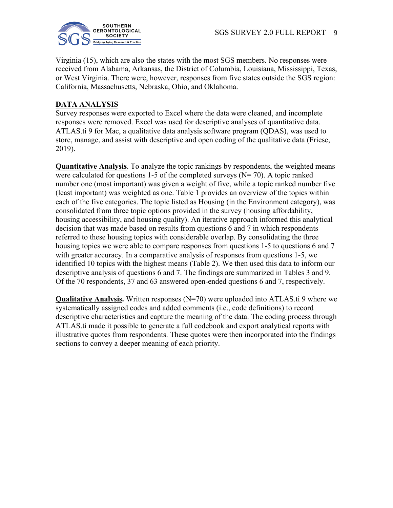

Virginia (15), which are also the states with the most SGS members. No responses were received from Alabama, Arkansas, the District of Columbia, Louisiana, Mississippi, Texas, or West Virginia. There were, however, responses from five states outside the SGS region: California, Massachusetts, Nebraska, Ohio, and Oklahoma.

## **DATA ANALYSIS**

Survey responses were exported to Excel where the data were cleaned, and incomplete responses were removed. Excel was used for descriptive analyses of quantitative data. ATLAS.ti 9 for Mac, a qualitative data analysis software program (QDAS), was used to store, manage, and assist with descriptive and open coding of the qualitative data (Friese, 2019).

**Quantitative Analysis**. To analyze the topic rankings by respondents, the weighted means were calculated for questions 1-5 of the completed surveys ( $N= 70$ ). A topic ranked number one (most important) was given a weight of five, while a topic ranked number five (least important) was weighted as one. Table 1 provides an overview of the topics within each of the five categories. The topic listed as Housing (in the Environment category), was consolidated from three topic options provided in the survey (housing affordability, housing accessibility, and housing quality). An iterative approach informed this analytical decision that was made based on results from questions 6 and 7 in which respondents referred to these housing topics with considerable overlap. By consolidating the three housing topics we were able to compare responses from questions 1-5 to questions 6 and 7 with greater accuracy. In a comparative analysis of responses from questions 1-5, we identified 10 topics with the highest means (Table 2). We then used this data to inform our descriptive analysis of questions 6 and 7. The findings are summarized in Tables 3 and 9. Of the 70 respondents, 37 and 63 answered open-ended questions 6 and 7, respectively.

**Qualitative Analysis.** Written responses (N=70) were uploaded into ATLAS.ti 9 where we systematically assigned codes and added comments (i.e., code definitions) to record descriptive characteristics and capture the meaning of the data. The coding process through ATLAS.ti made it possible to generate a full codebook and export analytical reports with illustrative quotes from respondents. These quotes were then incorporated into the findings sections to convey a deeper meaning of each priority.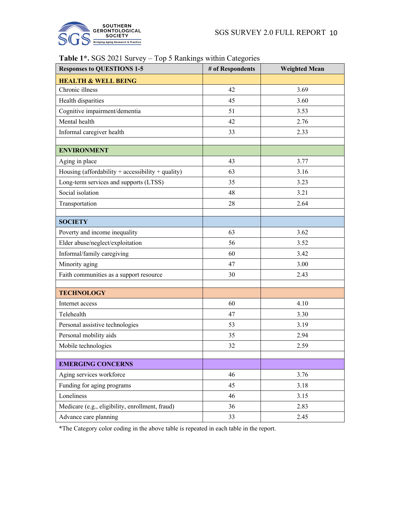

## **Table 1\*.** SGS 2021 Survey – Top 5 Rankings within Categories

| <b>Responses to QUESTIONS 1-5</b>                 | # of Respondents | <b>Weighted Mean</b> |
|---------------------------------------------------|------------------|----------------------|
| <b>HEALTH &amp; WELL BEING</b>                    |                  |                      |
| Chronic illness                                   | 42               | 3.69                 |
| Health disparities                                | 45               | 3.60                 |
| Cognitive impairment/dementia                     | 51               | 3.53                 |
| Mental health                                     | 42               | 2.76                 |
| Informal caregiver health                         | 33               | 2.33                 |
| <b>ENVIRONMENT</b>                                |                  |                      |
| Aging in place                                    | 43               | 3.77                 |
| Housing (affordability + accessibility + quality) | 63               | 3.16                 |
| Long-term services and supports (LTSS)            | 35               | 3.23                 |
| Social isolation                                  | 48               | 3.21                 |
| Transportation                                    | 28               | 2.64                 |
|                                                   |                  |                      |
| <b>SOCIETY</b>                                    |                  |                      |
| Poverty and income inequality                     | 63               | 3.62                 |
| Elder abuse/neglect/exploitation                  | 56               | 3.52                 |
| Informal/family caregiving                        | 60               | 3.42                 |
| Minority aging                                    | 47               | 3.00                 |
| Faith communities as a support resource           | 30               | 2.43                 |
|                                                   |                  |                      |
| <b>TECHNOLOGY</b>                                 |                  |                      |
| Internet access                                   | 60               | 4.10                 |
| Telehealth                                        | 47               | 3.30                 |
| Personal assistive technologies                   | 53               | 3.19                 |
| Personal mobility aids                            | 35               | 2.94                 |
| Mobile technologies                               | 32               | 2.59                 |
|                                                   |                  |                      |
| <b>EMERGING CONCERNS</b>                          |                  |                      |
| Aging services workforce                          | 46               | 3.76                 |
| Funding for aging programs                        | 45               | 3.18                 |
| Loneliness                                        | 46               | 3.15                 |
| Medicare (e.g., eligibility, enrollment, fraud)   | 36               | 2.83                 |
| Advance care planning                             | 33               | 2.45                 |

\*The Category color coding in the above table is repeated in each table in the report.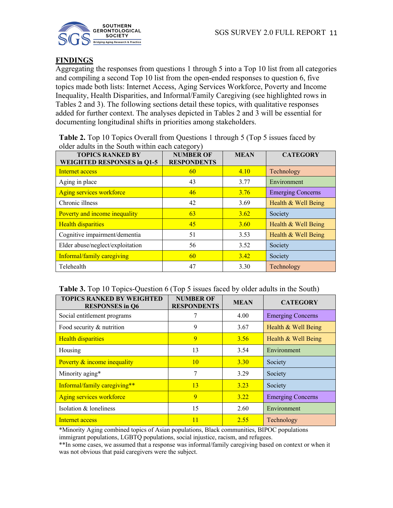

## **FINDINGS**

Aggregating the responses from questions 1 through 5 into a Top 10 list from all categories and compiling a second Top 10 list from the open-ended responses to question 6, five topics made both lists: Internet Access, Aging Services Workforce, Poverty and Income Inequality, Health Disparities, and Informal/Family Caregiving (see highlighted rows in Tables 2 and 3). The following sections detail these topics, with qualitative responses added for further context. The analyses depicted in Tables 2 and 3 will be essential for documenting longitudinal shifts in priorities among stakeholders.

**Table 2.** Top 10 Topics Overall from Questions 1 through 5 (Top 5 issues faced by older adults in the South within each category)

| <b>TOPICS RANKED BY</b><br><b>WEIGHTED RESPONSES in Q1-5</b> | . <i>. .</i><br><b>NUMBER OF</b><br><b>RESPONDENTS</b> | <b>MEAN</b> | <b>CATEGORY</b>          |
|--------------------------------------------------------------|--------------------------------------------------------|-------------|--------------------------|
| Internet access                                              | 60                                                     | 4.10        | Technology               |
| Aging in place                                               | 43                                                     | 3.77        | Environment              |
| Aging services workforce                                     | 46                                                     | 3.76        | <b>Emerging Concerns</b> |
| Chronic illness                                              | 42                                                     | 3.69        | Health & Well Being      |
| Poverty and income inequality                                | 63                                                     | 3.62        | Society                  |
| <b>Health disparities</b>                                    | 45                                                     | <b>3.60</b> | Health & Well Being      |
| Cognitive impairment/dementia                                | 51                                                     | 3.53        | Health & Well Being      |
| Elder abuse/neglect/exploitation                             | 56                                                     | 3.52        | Society                  |
| Informal/family caregiving                                   | 60                                                     | 3.42        | Society                  |
| Telehealth                                                   | 47                                                     | 3.30        | Technology               |

#### **Table 3.** Top 10 Topics-Question 6 (Top 5 issues faced by older adults in the South)

| <b>TOPICS RANKED BY WEIGHTED</b><br><b>RESPONSES</b> in Q6 | <b>NUMBER OF</b><br><b>RESPONDENTS</b> | <b>MEAN</b> | <b>CATEGORY</b>          |
|------------------------------------------------------------|----------------------------------------|-------------|--------------------------|
| Social entitlement programs                                |                                        | 4.00        | <b>Emerging Concerns</b> |
| Food security & nutrition                                  | 9                                      | 3.67        | Health & Well Being      |
| <b>Health disparities</b>                                  | 9                                      | 3.56        | Health & Well Being      |
| Housing                                                    | 13                                     | 3.54        | Environment              |
| Poverty & income inequality                                | 10                                     | 3.30        | Society                  |
| Minority aging*                                            | 7                                      | 3.29        | Society                  |
| Informal/family caregiving**                               | 13                                     | 3.23        | Society                  |
| Aging services workforce                                   | 9                                      | 3.22        | <b>Emerging Concerns</b> |
| Isolation & loneliness                                     | 15                                     | 2.60        | Environment              |
| Internet access                                            | 11                                     | 2.55        | Technology               |

\*Minority Aging combined topics of Asian populations, Black communities, BIPOC populations immigrant populations, LGBTQ populations, social injustice, racism, and refugees.

\*\*In some cases, we assumed that a response was informal/family caregiving based on context or when it was not obvious that paid caregivers were the subject.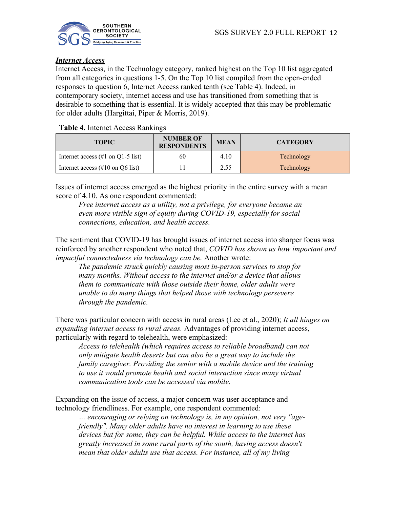

## *Internet Access*

Internet Access, in the Technology category, ranked highest on the Top 10 list aggregated from all categories in questions 1-5. On the Top 10 list compiled from the open-ended responses to question 6, Internet Access ranked tenth (see Table 4). Indeed, in contemporary society, internet access and use has transitioned from something that is desirable to something that is essential. It is widely accepted that this may be problematic for older adults (Hargittai, Piper & Morris, 2019).

**Table 4.** Internet Access Rankings

| <b>TOPIC</b>                                          | <b>NUMBER OF</b><br><b>RESPONDENTS</b> | <b>MEAN</b> | <b>CATEGORY</b> |
|-------------------------------------------------------|----------------------------------------|-------------|-----------------|
| Internet access $(\#1 \text{ on } Q1-5 \text{ list})$ | 60                                     | 4.10        | Technology      |
| Internet access $(\#10 \text{ on } Q6 \text{ list})$  |                                        | 2.55        | Technology      |

Issues of internet access emerged as the highest priority in the entire survey with a mean score of 4.10. As one respondent commented:

*Free internet access as a utility, not a privilege, for everyone became an even more visible sign of equity during COVID-19, especially for social connections, education, and health access.*

The sentiment that COVID-19 has brought issues of internet access into sharper focus was reinforced by another respondent who noted that, *COVID has shown us how important and impactful connectedness via technology can be.* Another wrote:

*The pandemic struck quickly causing most in-person services to stop for many months. Without access to the internet and/or a device that allows them to communicate with those outside their home, older adults were unable to do many things that helped those with technology persevere through the pandemic.*

There was particular concern with access in rural areas (Lee et al., 2020); *It all hinges on expanding internet access to rural areas.* Advantages of providing internet access, particularly with regard to telehealth, were emphasized:

*Access to telehealth (which requires access to reliable broadband) can not only mitigate health deserts but can also be a great way to include the family caregiver. Providing the senior with a mobile device and the training to use it would promote health and social interaction since many virtual communication tools can be accessed via mobile.*

Expanding on the issue of access, a major concern was user acceptance and technology friendliness. For example, one respondent commented:

*… encouraging or relying on technology is, in my opinion, not very "agefriendly". Many older adults have no interest in learning to use these devices but for some, they can be helpful. While access to the internet has greatly increased in some rural parts of the south, having access doesn't mean that older adults use that access. For instance, all of my living*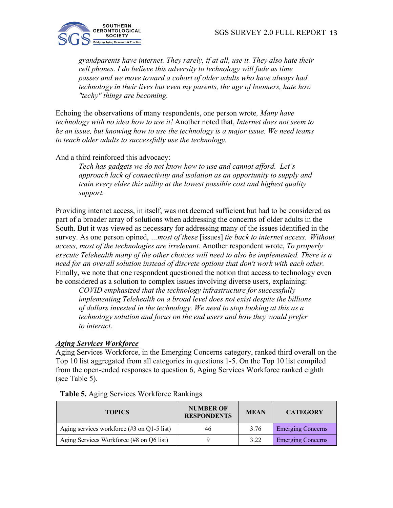

*grandparents have internet. They rarely, if at all, use it. They also hate their cell phones. I do believe this adversity to technology will fade as time passes and we move toward a cohort of older adults who have always had technology in their lives but even my parents, the age of boomers, hate how "techy" things are becoming.*

Echoing the observations of many respondents, one person wrote*, Many have technology with no idea how to use it!* Another noted that, *Internet does not seem to be an issue, but knowing how to use the technology is a major issue. We need teams to teach older adults to successfully use the technology.*

## And a third reinforced this advocacy:

*Tech has gadgets we do not know how to use and cannot afford. Let's approach lack of connectivity and isolation as an opportunity to supply and train every elder this utility at the lowest possible cost and highest quality support.*

Providing internet access, in itself, was not deemed sufficient but had to be considered as part of a broader array of solutions when addressing the concerns of older adults in the South. But it was viewed as necessary for addressing many of the issues identified in the survey. As one person opined, *…most of these* [issues] *tie back to internet access*. *Without access, most of the technologies are irrelevant.* Another respondent wrote, *To properly execute Telehealth many of the other choices will need to also be implemented. There is a need for an overall solution instead of discrete options that don't work with each other.* Finally, we note that one respondent questioned the notion that access to technology even be considered as a solution to complex issues involving diverse users, explaining:

*COVID emphasized that the technology infrastructure for successfully implementing Telehealth on a broad level does not exist despite the billions of dollars invested in the technology. We need to stop looking at this as a technology solution and focus on the end users and how they would prefer to interact.* 

#### *Aging Services Workforce*

Aging Services Workforce, in the Emerging Concerns category, ranked third overall on the Top 10 list aggregated from all categories in questions 1-5. On the Top 10 list compiled from the open-ended responses to question 6, Aging Services Workforce ranked eighth (see Table 5).

| <b>TOPICS</b>                                                  | <b>NUMBER OF</b><br><b>RESPONDENTS</b> | <b>MEAN</b> | <b>CATEGORY</b>          |
|----------------------------------------------------------------|----------------------------------------|-------------|--------------------------|
| Aging services workforce $(\#3 \text{ on } Q1-5 \text{ list})$ | 46                                     | 3.76        | <b>Emerging Concerns</b> |
| Aging Services Workforce (#8 on Q6 list)                       |                                        | 3.22        | <b>Emerging Concerns</b> |

**Table 5.** Aging Services Workforce Rankings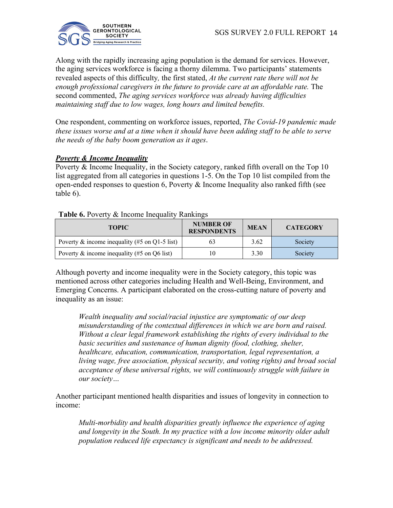

Along with the rapidly increasing aging population is the demand for services. However, the aging services workforce is facing a thorny dilemma. Two participants' statements revealed aspects of this difficulty*,* the first stated, *At the current rate there will not be enough professional caregivers in the future to provide care at an affordable rate.* The second commented, *The aging services workforce was already having difficulties maintaining staff due to low wages, long hours and limited benefits.*

One respondent, commenting on workforce issues, reported, *The Covid-19 pandemic made these issues worse and at a time when it should have been adding staff to be able to serve the needs of the baby boom generation as it ages*.

## *Poverty & Income Inequality*

Poverty & Income Inequality, in the Society category, ranked fifth overall on the Top 10 list aggregated from all categories in questions 1-5. On the Top 10 list compiled from the open-ended responses to question 6, Poverty & Income Inequality also ranked fifth (see table 6).

| THEIR OF LOTER OF HIS CHIEF HIS HOME INSTITUTION |                                        |             |                 |  |
|--------------------------------------------------|----------------------------------------|-------------|-----------------|--|
| <b>TOPIC</b>                                     | <b>NUMBER OF</b><br><b>RESPONDENTS</b> | <b>MEAN</b> | <b>CATEGORY</b> |  |
| Poverty & income inequality (#5 on Q1-5 list)    | 63                                     | 3.62        | Society         |  |
| Poverty & income inequality (#5 on Q6 list)      | 10                                     | 3.30        | Society         |  |

#### **Table 6.** Poverty & Income Inequality Rankings

Although poverty and income inequality were in the Society category, this topic was mentioned across other categories including Health and Well-Being, Environment, and Emerging Concerns. A participant elaborated on the cross-cutting nature of poverty and inequality as an issue:

*Wealth inequality and social/racial injustice are symptomatic of our deep misunderstanding of the contextual differences in which we are born and raised. Without a clear legal framework establishing the rights of every individual to the basic securities and sustenance of human dignity (food, clothing, shelter, healthcare, education, communication, transportation, legal representation, a living wage, free association, physical security, and voting rights) and broad social acceptance of these universal rights, we will continuously struggle with failure in our society…*

Another participant mentioned health disparities and issues of longevity in connection to income:

*Multi-morbidity and health disparities greatly influence the experience of aging and longevity in the South. In my practice with a low income minority older adult population reduced life expectancy is significant and needs to be addressed.*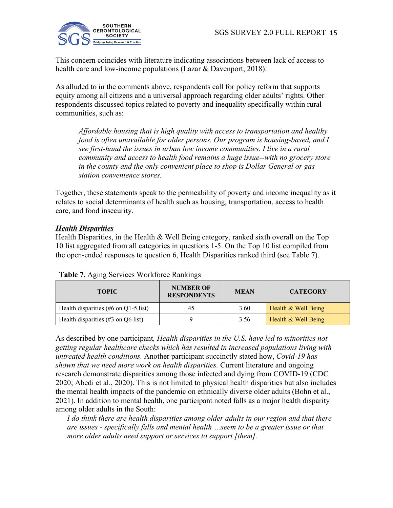

This concern coincides with literature indicating associations between lack of access to health care and low-income populations (Lazar & Davenport, 2018):

As alluded to in the comments above, respondents call for policy reform that supports equity among all citizens and a universal approach regarding older adults' rights. Other respondents discussed topics related to poverty and inequality specifically within rural communities, such as:

*Affordable housing that is high quality with access to transportation and healthy food is often unavailable for older persons. Our program is housing-based, and I see first-hand the issues in urban low income communities. I live in a rural community and access to health food remains a huge issue--with no grocery store in the county and the only convenient place to shop is Dollar General or gas station convenience stores.*

Together, these statements speak to the permeability of poverty and income inequality as it relates to social determinants of health such as housing, transportation, access to health care, and food insecurity.

## *Health Disparities*

Health Disparities, in the Health & Well Being category, ranked sixth overall on the Top 10 list aggregated from all categories in questions 1-5. On the Top 10 list compiled from the open-ended responses to question 6, Health Disparities ranked third (see Table 7).

| <b>TOPIC</b>                                             | <b>NUMBER OF</b><br><b>RESPONDENTS</b> | <b>MEAN</b> | <b>CATEGORY</b>     |
|----------------------------------------------------------|----------------------------------------|-------------|---------------------|
| Health disparities $(\#6 \text{ on } Q1-5 \text{ list})$ | 45                                     | 3.60        | Health & Well Being |
| Health disparities $(\#3 \text{ on } Q6 \text{ list})$   |                                        | 3.56        | Health & Well Being |

**Table 7.** Aging Services Workforce Rankings

As described by one participant*, Health disparities in the U.S. have led to minorities not getting regular healthcare checks which has resulted in increased populations living with untreated health conditions.* Another participant succinctly stated how, *Covid-19 has shown that we need more work on health disparities.* Current literature and ongoing research demonstrate disparities among those infected and dying from COVID-19 (CDC 2020; Abedi et al., 2020). This is not limited to physical health disparities but also includes the mental health impacts of the pandemic on ethnically diverse older adults (Bohn et al., 2021). In addition to mental health, one participant noted falls as a major health disparity among older adults in the South:

*I do think there are health disparities among older adults in our region and that there are issues - specifically falls and mental health …seem to be a greater issue or that more older adults need support or services to support [them].*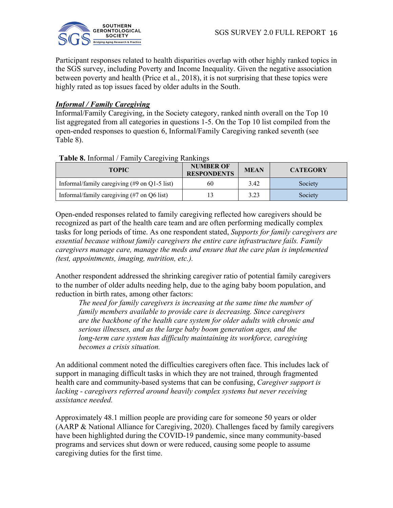

Participant responses related to health disparities overlap with other highly ranked topics in the SGS survey, including Poverty and Income Inequality. Given the negative association between poverty and health (Price et al., 2018), it is not surprising that these topics were highly rated as top issues faced by older adults in the South.

## *Informal / Family Caregiving*

Informal/Family Caregiving, in the Society category, ranked ninth overall on the Top 10 list aggregated from all categories in questions 1-5. On the Top 10 list compiled from the open-ended responses to question 6, Informal/Family Caregiving ranked seventh (see Table 8).

## **Table 8.** Informal / Family Caregiving Rankings

| <b>TOPIC</b>                                                                   | <b>NUMBER OF</b><br><b>RESPONDENTS</b> | <b>MEAN</b> | <b>CATEGORY</b> |
|--------------------------------------------------------------------------------|----------------------------------------|-------------|-----------------|
| Informal/family caregiving $(\text{\#}9 \text{ on } Q1\text{-}5 \text{ list})$ | 60                                     | 3.42        | Society         |
| Informal/family caregiving (#7 on Q6 list)                                     |                                        | 3.23        | Society         |

Open-ended responses related to family caregiving reflected how caregivers should be recognized as part of the health care team and are often performing medically complex tasks for long periods of time. As one respondent stated, *Supports for family caregivers are essential because without family caregivers the entire care infrastructure fails. Family caregivers manage care, manage the meds and ensure that the care plan is implemented (test, appointments, imaging, nutrition, etc.).*

Another respondent addressed the shrinking caregiver ratio of potential family caregivers to the number of older adults needing help, due to the aging baby boom population, and reduction in birth rates, among other factors:

*The need for family caregivers is increasing at the same time the number of family members available to provide care is decreasing. Since caregivers are the backbone of the health care system for older adults with chronic and serious illnesses, and as the large baby boom generation ages, and the long-term care system has difficulty maintaining its workforce, caregiving becomes a crisis situation.*

An additional comment noted the difficulties caregivers often face. This includes lack of support in managing difficult tasks in which they are not trained, through fragmented health care and community-based systems that can be confusing, *Caregiver support is lacking - caregivers referred around heavily complex systems but never receiving assistance needed.*

Approximately 48.1 million people are providing care for someone 50 years or older (AARP & National Alliance for Caregiving, 2020). Challenges faced by family caregivers have been highlighted during the COVID-19 pandemic, since many community-based programs and services shut down or were reduced, causing some people to assume caregiving duties for the first time.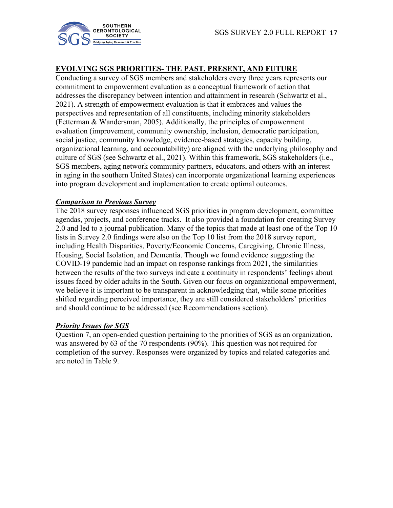

## **EVOLVING SGS PRIORITIES- THE PAST, PRESENT, AND FUTURE**

Conducting a survey of SGS members and stakeholders every three years represents our commitment to empowerment evaluation as a conceptual framework of action that addresses the discrepancy between intention and attainment in research (Schwartz et al., 2021). A strength of empowerment evaluation is that it embraces and values the perspectives and representation of all constituents, including minority stakeholders (Fetterman & Wandersman, 2005). Additionally, the principles of empowerment evaluation (improvement, community ownership, inclusion, democratic participation, social justice, community knowledge, evidence-based strategies, capacity building, organizational learning, and accountability) are aligned with the underlying philosophy and culture of SGS (see Schwartz et al., 2021). Within this framework, SGS stakeholders (i.e., SGS members, aging network community partners, educators, and others with an interest in aging in the southern United States) can incorporate organizational learning experiences into program development and implementation to create optimal outcomes.

#### *Comparison to Previous Survey*

The 2018 survey responses influenced SGS priorities in program development, committee agendas, projects, and conference tracks. It also provided a foundation for creating Survey 2.0 and led to a journal publication. Many of the topics that made at least one of the Top 10 lists in Survey 2.0 findings were also on the Top 10 list from the 2018 survey report, including Health Disparities, Poverty/Economic Concerns, Caregiving, Chronic Illness, Housing, Social Isolation, and Dementia. Though we found evidence suggesting the COVID-19 pandemic had an impact on response rankings from 2021, the similarities between the results of the two surveys indicate a continuity in respondents' feelings about issues faced by older adults in the South. Given our focus on organizational empowerment, we believe it is important to be transparent in acknowledging that, while some priorities shifted regarding perceived importance, they are still considered stakeholders' priorities and should continue to be addressed (see Recommendations section).

## *Priority Issues for SGS*

Question 7, an open-ended question pertaining to the priorities of SGS as an organization, was answered by 63 of the 70 respondents (90%). This question was not required for completion of the survey. Responses were organized by topics and related categories and are noted in Table 9.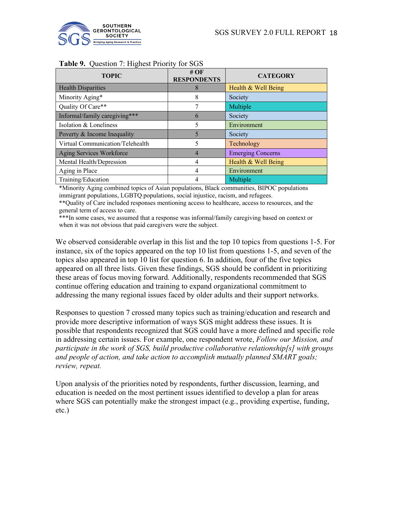

| <b>Table 2.</b> Question 7. Highest Holley for BOB |                              |                          |  |  |
|----------------------------------------------------|------------------------------|--------------------------|--|--|
| <b>TOPIC</b>                                       | # $OF$<br><b>RESPONDENTS</b> | <b>CATEGORY</b>          |  |  |
| <b>Health Disparities</b>                          | 8                            | Health & Well Being      |  |  |
| Minority Aging*                                    | 8                            | Society                  |  |  |
| Quality Of Care**                                  |                              | Multiple                 |  |  |
| Informal/family caregiving***                      | $\mathfrak b$                | Society                  |  |  |
| Isolation & Loneliness                             | 5                            | Environment              |  |  |
| Poverty & Income Inequality                        | 5                            | Society                  |  |  |
| Virtual Communication/Telehealth                   | 5                            | Technology               |  |  |
| Aging Services Workforce                           | $\overline{4}$               | <b>Emerging Concerns</b> |  |  |
| Mental Health/Depression                           | 4                            | Health & Well Being      |  |  |
| Aging in Place                                     | 4                            | Environment              |  |  |
| Training/Education                                 | 4                            | Multiple                 |  |  |

### **Table 9.** Question 7: Highest Priority for SGS

\*Minority Aging combined topics of Asian populations, Black communities, BIPOC populations immigrant populations, LGBTQ populations, social injustice, racism, and refugees.

**\*\***Quality of Care included responses mentioning access to healthcare, access to resources, and the general term of access to care.

\*\*\*In some cases, we assumed that a response was informal/family caregiving based on context or when it was not obvious that paid caregivers were the subject.

We observed considerable overlap in this list and the top 10 topics from questions 1-5. For instance, six of the topics appeared on the top 10 list from questions 1-5, and seven of the topics also appeared in top 10 list for question 6. In addition, four of the five topics appeared on all three lists. Given these findings, SGS should be confident in prioritizing these areas of focus moving forward. Additionally, respondents recommended that SGS continue offering education and training to expand organizational commitment to addressing the many regional issues faced by older adults and their support networks.

Responses to question 7 crossed many topics such as training/education and research and provide more descriptive information of ways SGS might address these issues. It is possible that respondents recognized that SGS could have a more defined and specific role in addressing certain issues. For example, one respondent wrote, *Follow our Mission, and participate in the work of SGS, build productive collaborative relationship[s] with groups and people of action, and take action to accomplish mutually planned SMART goals; review, repeat.*

Upon analysis of the priorities noted by respondents, further discussion, learning, and education is needed on the most pertinent issues identified to develop a plan for areas where SGS can potentially make the strongest impact (e.g., providing expertise, funding, etc.)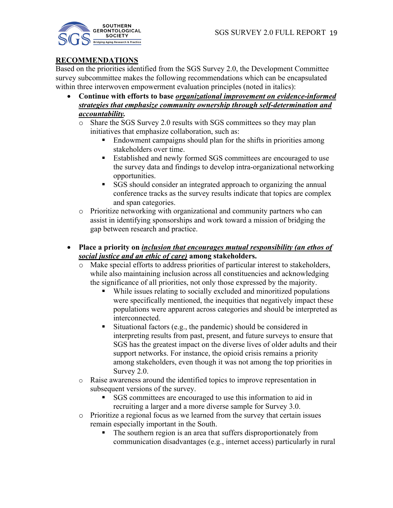

## **RECOMMENDATIONS**

Based on the priorities identified from the SGS Survey 2.0, the Development Committee survey subcommittee makes the following recommendations which can be encapsulated within three interwoven empowerment evaluation principles (noted in italics):

- **Continue with efforts to base** *organizational improvement on evidence-informed strategies that emphasize community ownership through self-determination and accountability.*
	- o Share the SGS Survey 2.0 results with SGS committees so they may plan initiatives that emphasize collaboration, such as:
		- § Endowment campaigns should plan for the shifts in priorities among stakeholders over time.
		- Established and newly formed SGS committees are encouraged to use the survey data and findings to develop intra-organizational networking opportunities.
		- § SGS should consider an integrated approach to organizing the annual conference tracks as the survey results indicate that topics are complex and span categories.
	- o Prioritize networking with organizational and community partners who can assist in identifying sponsorships and work toward a mission of bridging the gap between research and practice.
- **Place a priority on** *inclusion that encourages mutual responsibility (an ethos of social justice and an ethic of care)* **among stakeholders.**
	- o Make special efforts to address priorities of particular interest to stakeholders, while also maintaining inclusion across all constituencies and acknowledging the significance of all priorities, not only those expressed by the majority.
		- While issues relating to socially excluded and minoritized populations were specifically mentioned, the inequities that negatively impact these populations were apparent across categories and should be interpreted as interconnected.
		- Situational factors (e.g., the pandemic) should be considered in interpreting results from past, present, and future surveys to ensure that SGS has the greatest impact on the diverse lives of older adults and their support networks. For instance, the opioid crisis remains a priority among stakeholders, even though it was not among the top priorities in Survey 2.0.
	- o Raise awareness around the identified topics to improve representation in subsequent versions of the survey.
		- SGS committees are encouraged to use this information to aid in recruiting a larger and a more diverse sample for Survey 3.0.
	- o Prioritize a regional focus as we learned from the survey that certain issues remain especially important in the South.
		- The southern region is an area that suffers disproportionately from communication disadvantages (e.g., internet access) particularly in rural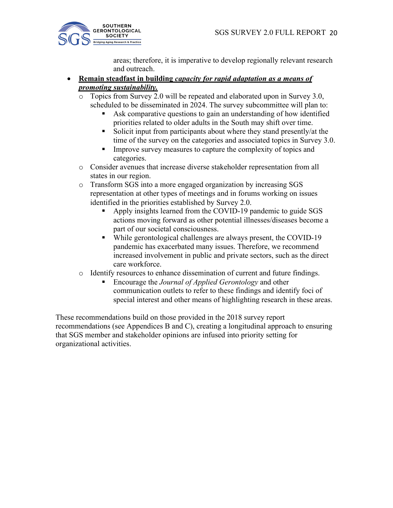

areas; therefore, it is imperative to develop regionally relevant research and outreach.

## • **Remain steadfast in building** *capacity for rapid adaptation as a means of promoting sustainability.*

Topics from Survey 2.0 will be repeated and elaborated upon in Survey 3.0, scheduled to be disseminated in 2024. The survey subcommittee will plan to:

- Ask comparative questions to gain an understanding of how identified priorities related to older adults in the South may shift over time.
- Solicit input from participants about where they stand presently/at the time of the survey on the categories and associated topics in Survey 3.0.
- Improve survey measures to capture the complexity of topics and categories.
- o Consider avenues that increase diverse stakeholder representation from all states in our region.
- o Transform SGS into a more engaged organization by increasing SGS representation at other types of meetings and in forums working on issues identified in the priorities established by Survey 2.0.
	- § Apply insights learned from the COVID-19 pandemic to guide SGS actions moving forward as other potential illnesses/diseases become a part of our societal consciousness.
	- § While gerontological challenges are always present, the COVID-19 pandemic has exacerbated many issues. Therefore, we recommend increased involvement in public and private sectors, such as the direct care workforce.
- o Identify resources to enhance dissemination of current and future findings.
	- Encourage the *Journal of Applied Gerontology* and other communication outlets to refer to these findings and identify foci of special interest and other means of highlighting research in these areas.

These recommendations build on those provided in the 2018 survey report recommendations (see Appendices B and C), creating a longitudinal approach to ensuring that SGS member and stakeholder opinions are infused into priority setting for organizational activities.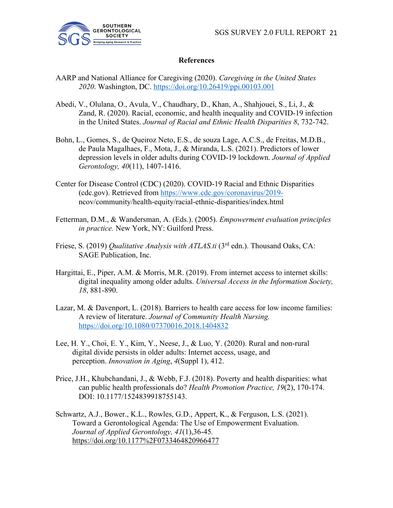

#### **References**

- AARP and National Alliance for Caregiving (2020). *Caregiving in the United States 2020*. Washington, DC. https://doi.org/10.26419/ppi.00103.001
- Abedi, V., Olulana, O., Avula, V., Chaudhary, D., Khan, A., Shahjouei, S., Li, J., & Zand, R. (2020). Racial, economic, and health inequality and COVID-19 infection in the United States. *Journal of Racial and Ethnic Health Disparities 8*, 732-742.
- Bohn, L., Gomes, S., de Queiroz Neto, E.S., de souza Lage, A.C.S., de Freitas, M.D.B., de Paula Magalhaes, F., Mota, J., & Miranda, L.S. (2021). Predictors of lower depression levels in older adults during COVID-19 lockdown. *Journal of Applied Gerontology, 40*(11), 1407-1416.
- Center for Disease Control (CDC) (2020). COVID-19 Racial and Ethnic Disparities (cdc.gov). Retrieved from https://www.cdc.gov/coronavirus/2019 ncov/community/health-equity/racial-ethnic-disparities/index.html
- Fetterman, D.M., & Wandersman, A. (Eds.). (2005). *Empowerment evaluation principles in practice.* New York, NY: Guilford Press.
- Friese, S. (2019) *Qualitative Analysis with ATLAS.ti* (3<sup>rd</sup> edn.). Thousand Oaks, CA: SAGE Publication, Inc.
- Hargittai, E., Piper, A.M. & Morris, M.R. (2019). From internet access to internet skills: digital inequality among older adults. *Universal Access in the Information Society, 18*, 881-890.
- Lazar, M. & Davenport, L. (2018). Barriers to health care access for low income families: A review of literature. *Journal of Community Health Nursing.*  https://doi.org/10.1080/07370016.2018.1404832
- Lee, H. Y., Choi, E. Y., Kim, Y., Neese, J., & Luo, Y. (2020). Rural and non-rural digital divide persists in older adults: Internet access, usage, and perception. *Innovation in Aging*, *4*(Suppl 1), 412.
- Price, J.H., Khubchandani, J., & Webb, F.J. (2018). Poverty and health disparities: what can public health professionals do? *Health Promotion Practice, 19*(2), 170-174. DOI: 10.1177/1524839918755143.
- Schwartz, A.J., Bower., K.L., Rowles, G.D., Appert, K., & Ferguson, L.S. (2021). Toward a Gerontological Agenda: The Use of Empowerment Evaluation. *Journal of Applied Gerontology, 41*(1),36-45*.* https://doi.org/10.1177%2F0733464820966477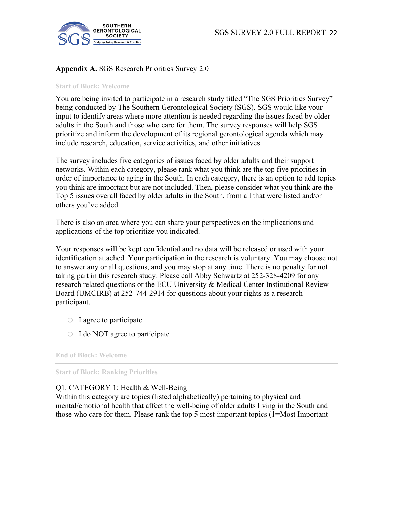

## **Appendix A.** SGS Research Priorities Survey 2.0

#### **Start of Block: Welcome**

You are being invited to participate in a research study titled "The SGS Priorities Survey" being conducted by The Southern Gerontological Society (SGS). SGS would like your input to identify areas where more attention is needed regarding the issues faced by older adults in the South and those who care for them. The survey responses will help SGS prioritize and inform the development of its regional gerontological agenda which may include research, education, service activities, and other initiatives.

The survey includes five categories of issues faced by older adults and their support networks. Within each category, please rank what you think are the top five priorities in order of importance to aging in the South. In each category, there is an option to add topics you think are important but are not included. Then, please consider what you think are the Top 5 issues overall faced by older adults in the South, from all that were listed and/or others you've added.

There is also an area where you can share your perspectives on the implications and applications of the top prioritize you indicated.

Your responses will be kept confidential and no data will be released or used with your identification attached. Your participation in the research is voluntary. You may choose not to answer any or all questions, and you may stop at any time. There is no penalty for not taking part in this research study. Please call Abby Schwartz at 252-328-4209 for any research related questions or the ECU University & Medical Center Institutional Review Board (UMCIRB) at 252-744-2914 for questions about your rights as a research participant.

- $\circ$  I agree to participate
- o I do NOT agree to participate

**End of Block: Welcome**

**Start of Block: Ranking Priorities**

#### Q1. CATEGORY 1: Health & Well-Being

Within this category are topics (listed alphabetically) pertaining to physical and mental/emotional health that affect the well-being of older adults living in the South and those who care for them. Please rank the top 5 most important topics (1=Most Important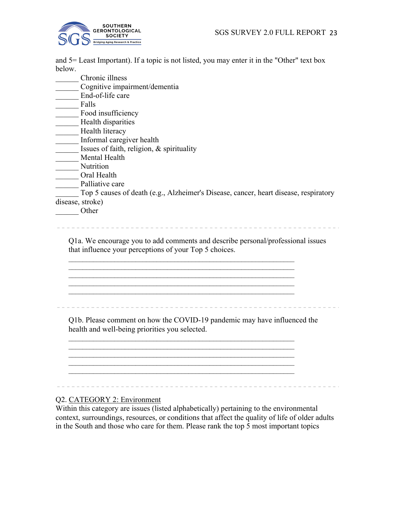

and 5= Least Important). If a topic is not listed, you may enter it in the "Other" text box below.

|                  | Chronic illness                                                                      |
|------------------|--------------------------------------------------------------------------------------|
|                  | Cognitive impairment/dementia                                                        |
|                  | End-of-life care                                                                     |
|                  | Falls                                                                                |
|                  | Food insufficiency                                                                   |
|                  | Health disparities                                                                   |
|                  | Health literacy                                                                      |
|                  | Informal caregiver health                                                            |
|                  | Issues of faith, religion, & spirituality                                            |
|                  | Mental Health                                                                        |
|                  | Nutrition                                                                            |
|                  | Oral Health                                                                          |
|                  | Palliative care                                                                      |
|                  | Top 5 causes of death (e.g., Alzheimer's Disease, cancer, heart disease, respiratory |
| disease, stroke) |                                                                                      |
|                  | Other                                                                                |
|                  |                                                                                      |
|                  |                                                                                      |

Q1a. We encourage you to add comments and describe personal/professional issues that influence your perceptions of your Top 5 choices.

\_\_\_\_\_\_\_\_\_\_\_\_\_\_\_\_\_\_\_\_\_\_\_\_\_\_\_\_\_\_\_\_\_\_\_\_\_\_\_\_\_\_\_\_\_\_\_\_\_\_\_\_\_\_\_\_\_\_\_\_\_\_\_\_

Q1b. Please comment on how the COVID-19 pandemic may have influenced the health and well-being priorities you selected.

\_\_\_\_\_\_\_\_\_\_\_\_\_\_\_\_\_\_\_\_\_\_\_\_\_\_\_\_\_\_\_\_\_\_\_\_\_\_\_\_\_\_\_\_\_\_\_\_\_\_\_\_\_\_\_\_\_\_\_\_\_\_\_\_

 $\mathcal{L}_\text{max}$  , and the contract of the contract of the contract of the contract of the contract of the contract of

\_\_\_\_\_\_\_\_\_\_\_\_\_\_\_\_\_\_\_\_\_\_\_\_\_\_\_\_\_\_\_\_\_\_\_\_\_\_\_\_\_\_\_\_\_\_\_\_\_\_\_\_\_\_\_\_\_\_\_\_\_\_\_\_

 $\mathcal{L}_\text{max} = \frac{1}{2} \sum_{i=1}^n \mathcal{L}_\text{max}(\mathbf{z}_i - \mathbf{z}_i)$  $\mathcal{L}_\text{max} = \frac{1}{2} \sum_{i=1}^n \mathcal{L}_\text{max}(\mathbf{z}_i - \mathbf{z}_i)$ 

#### Q2. CATEGORY 2: Environment

Within this category are issues (listed alphabetically) pertaining to the environmental context, surroundings, resources, or conditions that affect the quality of life of older adults in the South and those who care for them. Please rank the top 5 most important topics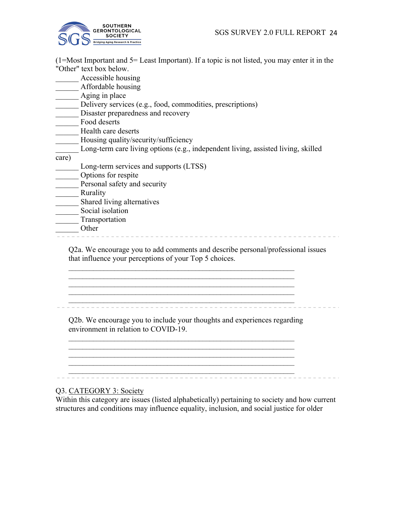

(1=Most Important and 5= Least Important). If a topic is not listed, you may enter it in the "Other" text box below.

\_\_\_\_\_\_ Accessible housing

\_\_\_\_\_\_ Affordable housing

- \_\_\_\_\_ Aging in place
- Delivery services (e.g., food, commodities, prescriptions)
- Disaster preparedness and recovery
- Food deserts
- Health care deserts
- \_\_\_\_\_\_ Housing quality/security/sufficiency
- Long-term care living options (e.g., independent living, assisted living, skilled
- care)
	- Long-term services and supports (LTSS)
- \_\_\_\_\_\_ Options for respite
- Personal safety and security
- **Rurality**
- \_\_\_\_\_\_ Shared living alternatives
- Social isolation
- \_\_\_\_\_\_ Transportation
- \_\_\_\_\_\_ Other

Q2a. We encourage you to add comments and describe personal/professional issues that influence your perceptions of your Top 5 choices.

\_\_\_\_\_\_\_\_\_\_\_\_\_\_\_\_\_\_\_\_\_\_\_\_\_\_\_\_\_\_\_\_\_\_\_\_\_\_\_\_\_\_\_\_\_\_\_\_\_\_\_\_\_\_\_\_\_\_\_\_\_\_\_\_

Q2b. We encourage you to include your thoughts and experiences regarding environment in relation to COVID-19.

 $\mathcal{L}_\text{max} = \frac{1}{2} \sum_{i=1}^n \mathcal{L}_\text{max}(\mathbf{z}_i - \mathbf{z}_i)$  $\mathcal{L}_\text{max} = \frac{1}{2} \sum_{i=1}^n \mathcal{L}_\text{max}(\mathbf{z}_i - \mathbf{z}_i)$  $\mathcal{L}_\text{max} = \frac{1}{2} \sum_{i=1}^n \mathcal{L}_\text{max}(\mathbf{z}_i - \mathbf{z}_i)$ 

\_\_\_\_\_\_\_\_\_\_\_\_\_\_\_\_\_\_\_\_\_\_\_\_\_\_\_\_\_\_\_\_\_\_\_\_\_\_\_\_\_\_\_\_\_\_\_\_\_\_\_\_\_\_\_\_\_\_\_\_\_\_\_\_ \_\_\_\_\_\_\_\_\_\_\_\_\_\_\_\_\_\_\_\_\_\_\_\_\_\_\_\_\_\_\_\_\_\_\_\_\_\_\_\_\_\_\_\_\_\_\_\_\_\_\_\_\_\_\_\_\_\_\_\_\_\_\_\_

\_\_\_\_\_\_\_\_\_\_\_\_\_\_\_\_\_\_\_\_\_\_\_\_\_\_\_\_\_\_\_\_\_\_\_\_\_\_\_\_\_\_\_\_\_\_\_\_\_\_\_\_\_\_\_\_\_\_\_\_\_\_\_\_

Q3. CATEGORY 3: Society

Within this category are issues (listed alphabetically) pertaining to society and how current structures and conditions may influence equality, inclusion, and social justice for older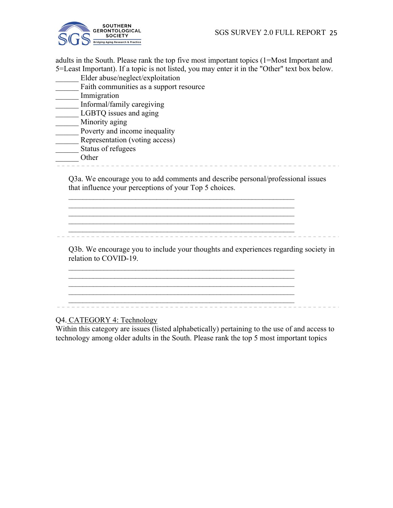

adults in the South. Please rank the top five most important topics (1=Most Important and 5=Least Important). If a topic is not listed, you may enter it in the "Other" text box below.

- \_\_\_\_\_\_ Elder abuse/neglect/exploitation
- Faith communities as a support resource
- \_\_\_\_\_\_ Immigration
- \_\_\_\_\_\_ Informal/family caregiving
- LGBTQ issues and aging
- $^-$  Minority aging
- **Example 2** Poverty and income inequality
- \_\_\_\_\_\_ Representation (voting access)
- \_\_\_\_\_\_ Status of refugees

\_\_\_\_\_\_ Other

Q3a. We encourage you to add comments and describe personal/professional issues

that influence your perceptions of your Top 5 choices.

 $\mathcal{L}_\text{max} = \frac{1}{2} \sum_{i=1}^n \mathcal{L}_\text{max}(\mathbf{z}_i - \mathbf{z}_i)$  $\mathcal{L}_\text{max} = \frac{1}{2} \sum_{i=1}^n \mathcal{L}_\text{max}(\mathbf{z}_i - \mathbf{z}_i)$ 

 $\mathcal{L}_\text{max} = \frac{1}{2} \sum_{i=1}^n \mathcal{L}_\text{max}(\mathbf{z}_i - \mathbf{z}_i)$  $\mathcal{L}_\text{max} = \frac{1}{2} \sum_{i=1}^n \mathcal{L}_\text{max}(\mathbf{z}_i - \mathbf{z}_i)$ 

 $\mathcal{L}_\text{max} = \frac{1}{2} \sum_{i=1}^n \mathcal{L}_\text{max}(\mathbf{z}_i - \mathbf{z}_i)$  $\mathcal{L}_\text{max} = \frac{1}{2} \sum_{i=1}^n \mathcal{L}_\text{max}(\mathbf{z}_i - \mathbf{z}_i)$ 

 $\mathcal{L}_\text{max} = \frac{1}{2} \sum_{i=1}^n \mathcal{L}_\text{max}(\mathbf{z}_i - \mathbf{z}_i)$ 

Q3b. We encourage you to include your thoughts and experiences regarding society in relation to COVID-19.

\_\_\_\_\_\_\_\_\_\_\_\_\_\_\_\_\_\_\_\_\_\_\_\_\_\_\_\_\_\_\_\_\_\_\_\_\_\_\_\_\_\_\_\_\_\_\_\_\_\_\_\_\_\_\_\_\_\_\_\_\_\_\_\_

Q4. CATEGORY 4: Technology

Within this category are issues (listed alphabetically) pertaining to the use of and access to technology among older adults in the South. Please rank the top 5 most important topics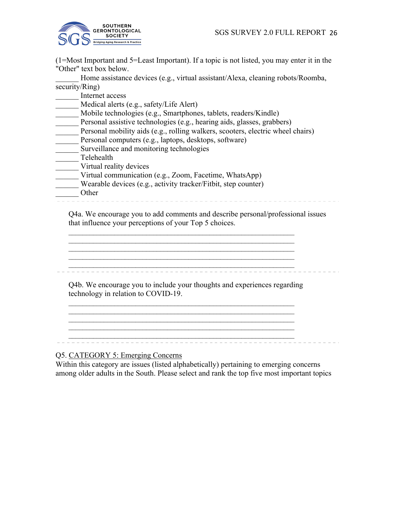

(1=Most Important and 5=Least Important). If a topic is not listed, you may enter it in the "Other" text box below.

Home assistance devices (e.g., virtual assistant/Alexa, cleaning robots/Roomba, security/Ring)

\_\_\_\_\_\_ Internet access

Medical alerts (e.g., safety/Life Alert)

\_\_\_\_\_\_ Mobile technologies (e.g., Smartphones, tablets, readers/Kindle)

- Personal assistive technologies (e.g., hearing aids, glasses, grabbers)
- Personal mobility aids (e.g., rolling walkers, scooters, electric wheel chairs)
- Personal computers (e.g., laptops, desktops, software)
- Surveillance and monitoring technologies
- \_\_\_\_\_\_ Telehealth
- Virtual reality devices
- Virtual communication (e.g., Zoom, Facetime, WhatsApp)
- Wearable devices (e.g., activity tracker/Fitbit, step counter)
- - \_\_\_\_\_\_ Other

Q4a. We encourage you to add comments and describe personal/professional issues that influence your perceptions of your Top 5 choices.

\_\_\_\_\_\_\_\_\_\_\_\_\_\_\_\_\_\_\_\_\_\_\_\_\_\_\_\_\_\_\_\_\_\_\_\_\_\_\_\_\_\_\_\_\_\_\_\_\_\_\_\_\_\_\_\_\_\_\_\_\_\_\_\_

Q4b. We encourage you to include your thoughts and experiences regarding technology in relation to COVID-19.

 $\mathcal{L}_\text{max} = \frac{1}{2} \sum_{i=1}^n \mathcal{L}_\text{max}(\mathbf{z}_i - \mathbf{z}_i)$ 

 $\mathcal{L}_\text{max} = \frac{1}{2} \sum_{i=1}^n \mathcal{L}_\text{max}(\mathbf{z}_i - \mathbf{z}_i)$ 

 $\mathcal{L}_\text{max} = \frac{1}{2} \sum_{i=1}^n \mathcal{L}_\text{max}(\mathbf{z}_i - \mathbf{z}_i)$  $\mathcal{L}_\text{max} = \frac{1}{2} \sum_{i=1}^n \mathcal{L}_\text{max}(\mathbf{z}_i - \mathbf{z}_i)$  $\mathcal{L}_\text{max} = \frac{1}{2} \sum_{i=1}^n \mathcal{L}_\text{max}(\mathbf{z}_i - \mathbf{z}_i)$ \_\_\_\_\_\_\_\_\_\_\_\_\_\_\_\_\_\_\_\_\_\_\_\_\_\_\_\_\_\_\_\_\_\_\_\_\_\_\_\_\_\_\_\_\_\_\_\_\_\_\_\_\_\_\_\_\_\_\_\_\_\_\_\_

 $\mathcal{L}_\text{max} = \frac{1}{2} \sum_{i=1}^n \mathcal{L}_\text{max}(\mathbf{z}_i - \mathbf{z}_i)$ 

Q5. CATEGORY 5: Emerging Concerns

Within this category are issues (listed alphabetically) pertaining to emerging concerns among older adults in the South. Please select and rank the top five most important topics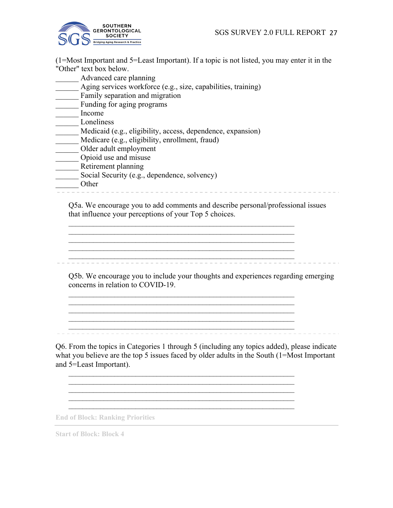

(1=Most Important and 5=Least Important). If a topic is not listed, you may enter it in the "Other" text box below.

- \_\_\_\_\_\_ Advanced care planning
- Aging services workforce (e.g., size, capabilities, training)
- Family separation and migration
- \_\_\_\_\_\_ Funding for aging programs
- \_\_\_\_\_\_ Income
- \_\_\_\_\_\_ Loneliness
- \_\_\_\_\_\_ Medicaid (e.g., eligibility, access, dependence, expansion)
- \_\_\_\_\_\_ Medicare (e.g., eligibility, enrollment, fraud)
- \_\_\_<br>Older adult employment
- \_\_\_\_\_\_ Opioid use and misuse
- Retirement planning
- $\overline{\phantom{a}}$  Social Security (e.g., dependence, solvency)
- 

\_\_\_\_\_\_ Other

Q5a. We encourage you to add comments and describe personal/professional issues that influence your perceptions of your Top 5 choices.

 $\mathcal{L}_\text{max} = \frac{1}{2} \sum_{i=1}^n \mathcal{L}_\text{max}(\mathbf{z}_i - \mathbf{z}_i)$ 

 $\mathcal{L}_\text{max} = \frac{1}{2} \sum_{i=1}^n \mathcal{L}_\text{max}(\mathbf{z}_i - \mathbf{z}_i)$  $\mathcal{L}_\text{max} = \frac{1}{2} \sum_{i=1}^n \mathcal{L}_\text{max}(\mathbf{z}_i - \mathbf{z}_i)$ 

\_\_\_\_\_\_\_\_\_\_\_\_\_\_\_\_\_\_\_\_\_\_\_\_\_\_\_\_\_\_\_\_\_\_\_\_\_\_\_\_\_\_\_\_\_\_\_\_\_\_\_\_\_\_\_\_\_\_\_\_\_\_\_\_  $\mathcal{L}_\text{max} = \frac{1}{2} \sum_{i=1}^n \mathcal{L}_\text{max}(\mathbf{z}_i - \mathbf{z}_i)$  $\mathcal{L}_\text{max} = \frac{1}{2} \sum_{i=1}^n \mathcal{L}_\text{max}(\mathbf{z}_i - \mathbf{z}_i)$  $\mathcal{L}_\text{max} = \frac{1}{2} \sum_{i=1}^n \mathcal{L}_\text{max}(\mathbf{z}_i - \mathbf{z}_i)$ \_\_\_\_\_\_\_\_\_\_\_\_\_\_\_\_\_\_\_\_\_\_\_\_\_\_\_\_\_\_\_\_\_\_\_\_\_\_\_\_\_\_\_\_\_\_\_\_\_\_\_\_\_\_\_\_\_\_\_\_\_\_\_\_

 $\mathcal{L}_\text{max} = \frac{1}{2} \sum_{i=1}^n \mathcal{L}_\text{max}(\mathbf{z}_i - \mathbf{z}_i)$  $\mathcal{L}_\text{max} = \frac{1}{2} \sum_{i=1}^n \mathcal{L}_\text{max}(\mathbf{z}_i - \mathbf{z}_i)$  $\mathcal{L}_\text{max} = \frac{1}{2} \sum_{i=1}^n \mathcal{L}_\text{max}(\mathbf{z}_i - \mathbf{z}_i)$  $\mathcal{L}_\text{max} = \frac{1}{2} \sum_{i=1}^n \mathcal{L}_\text{max}(\mathbf{z}_i - \mathbf{z}_i)$ 

Q5b. We encourage you to include your thoughts and experiences regarding emerging concerns in relation to COVID-19.

Q6. From the topics in Categories 1 through 5 (including any topics added), please indicate what you believe are the top 5 issues faced by older adults in the South (1=Most Important

**End of Block: Ranking Priorities**

**Start of Block: Block 4**

and 5=Least Important).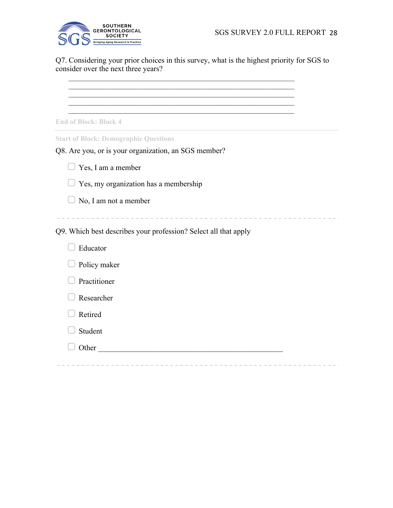



Q7. Considering your prior choices in this survey, what is the highest priority for SGS to consider over the next three years?

\_\_\_\_\_\_\_\_\_\_\_\_\_\_\_\_\_\_\_\_\_\_\_\_\_\_\_\_\_\_\_\_\_\_\_\_\_\_\_\_\_\_\_\_\_\_\_\_\_\_\_\_\_\_\_\_\_\_\_\_\_\_\_\_

\_\_\_\_\_\_\_\_\_\_\_\_\_\_\_\_\_\_\_\_\_\_\_\_\_\_\_\_\_\_\_\_\_\_\_\_\_\_\_\_\_\_\_\_\_\_\_\_\_\_\_\_\_\_\_\_\_\_\_\_\_\_\_\_

 $\mathcal{L}_\text{max} = \frac{1}{2} \sum_{i=1}^n \mathcal{L}_\text{max}(\mathbf{z}_i - \mathbf{z}_i)$ 

\_\_\_\_\_\_\_\_\_\_\_\_\_\_\_\_\_\_\_\_\_\_\_\_\_\_\_\_\_\_\_\_\_\_\_\_\_\_\_\_\_\_\_\_\_\_\_\_\_\_\_\_\_\_\_\_\_\_\_\_\_\_\_\_

**End of Block: Block 4**

□ Practitioner

▢ Researcher

**Student** 

▢ Retired

**Start of Block: Demographic Questions**

| Q8. Are you, or is your organization, an SGS member?            |
|-----------------------------------------------------------------|
| Yes, I am a member                                              |
| Yes, my organization has a membership                           |
| No, I am not a member                                           |
|                                                                 |
| Q9. Which best describes your profession? Select all that apply |
| Educator                                                        |
| Policy maker                                                    |
|                                                                 |

 $\Box$  Other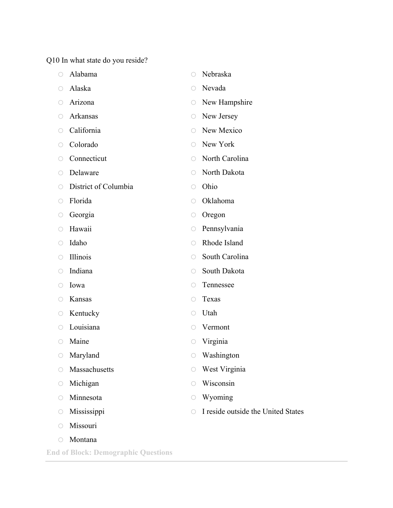Q10 In what state do you reside?

|                                             | Alabama              |            | Nebraska                           |
|---------------------------------------------|----------------------|------------|------------------------------------|
| $\left(\begin{array}{c} \end{array}\right)$ | Alaska               | $\bigcirc$ | Nevada                             |
| O                                           | Arizona              | O          | New Hampshire                      |
| $\bigcirc$                                  | Arkansas             | O          | New Jersey                         |
| 0                                           | California           | $\bigcirc$ | New Mexico                         |
| $\bigcirc$                                  | Colorado             | ∩          | New York                           |
| $\bigcirc$                                  | Connecticut          | ∩          | North Carolina                     |
| $\left(\right)$                             | Delaware             | $\bigcirc$ | North Dakota                       |
| O                                           | District of Columbia | O          | Ohio                               |
| O                                           | Florida              | ○          | Oklahoma                           |
| O                                           | Georgia              | O          | Oregon                             |
| ◯                                           | Hawaii               | O          | Pennsylvania                       |
| O                                           | Idaho                | ∩          | Rhode Island                       |
| $\bigcirc$                                  | Illinois             |            | South Carolina                     |
| ◯                                           | Indiana              |            | South Dakota                       |
| O                                           | Iowa                 | ○          | Tennessee                          |
| $\bigcirc$                                  | Kansas               |            | Texas                              |
| O                                           | Kentucky             | ◯          | Utah                               |
| $\bigcirc$                                  | Louisiana            | 0          | Vermont                            |
| O                                           | Maine                | O          | Virginia                           |
|                                             | $\circ$ Maryland     | O.         | Washington                         |
| O                                           | Massachusetts        |            | West Virginia                      |
| O                                           | Michigan             |            | Wisconsin                          |
| $\bigcirc$                                  | Minnesota            |            | Wyoming                            |
| O                                           | Mississippi          | ∩          | I reside outside the United States |
| ◯                                           | Missouri             |            |                                    |
| O                                           | Montana              |            |                                    |

**End of Block: Demographic Questions**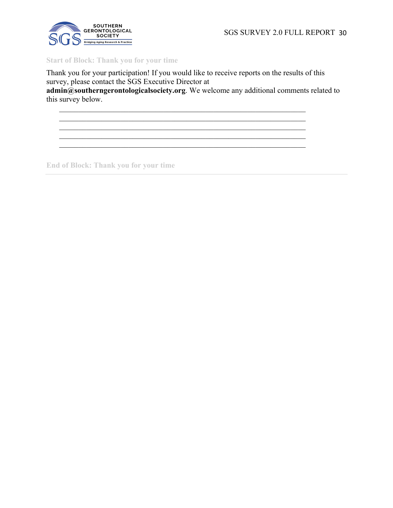SGS SURVEY 2.0 FULL REPORT 30



## **Start of Block: Thank you for your time**

Thank you for your participation! If you would like to receive reports on the results of this survey, please contact the SGS Executive Director at

 $\mathcal{L}_\mathcal{L} = \mathcal{L}_\mathcal{L} = \mathcal{L}_\mathcal{L} = \mathcal{L}_\mathcal{L} = \mathcal{L}_\mathcal{L} = \mathcal{L}_\mathcal{L} = \mathcal{L}_\mathcal{L} = \mathcal{L}_\mathcal{L} = \mathcal{L}_\mathcal{L} = \mathcal{L}_\mathcal{L} = \mathcal{L}_\mathcal{L} = \mathcal{L}_\mathcal{L} = \mathcal{L}_\mathcal{L} = \mathcal{L}_\mathcal{L} = \mathcal{L}_\mathcal{L} = \mathcal{L}_\mathcal{L} = \mathcal{L}_\mathcal{L}$ 

**admin@southerngerontologicalsociety.org**. We welcome any additional comments related to this survey below.

**End of Block: Thank you for your time**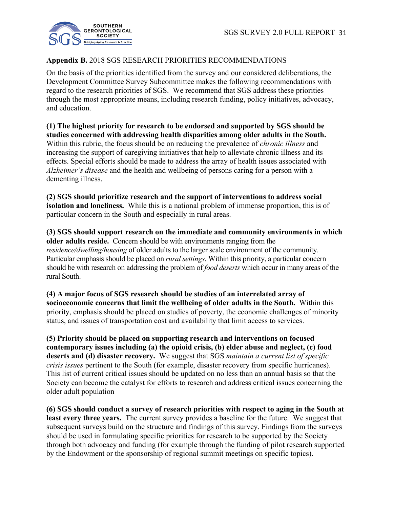

## **Appendix B.** 2018 SGS RESEARCH PRIORITIES RECOMMENDATIONS

On the basis of the priorities identified from the survey and our considered deliberations, the Development Committee Survey Subcommittee makes the following recommendations with regard to the research priorities of SGS. We recommend that SGS address these priorities through the most appropriate means, including research funding, policy initiatives, advocacy, and education.

**(1) The highest priority for research to be endorsed and supported by SGS should be studies concerned with addressing health disparities among older adults in the South.**  Within this rubric, the focus should be on reducing the prevalence of *chronic illness* and increasing the support of caregiving initiatives that help to alleviate chronic illness and its effects. Special efforts should be made to address the array of health issues associated with *Alzheimer's disease* and the health and wellbeing of persons caring for a person with a dementing illness.

**(2) SGS should prioritize research and the support of interventions to address social isolation and loneliness.** While this is a national problem of immense proportion, this is of particular concern in the South and especially in rural areas.

**(3) SGS should support research on the immediate and community environments in which older adults reside.** Concern should be with environments ranging from the *residence/dwelling/housing* of older adults to the larger scale environment of the community. Particular emphasis should be placed on *rural settings*. Within this priority, a particular concern should be with research on addressing the problem of *food deserts* which occur in many areas of the rural South.

**(4) A major focus of SGS research should be studies of an interrelated array of socioeconomic concerns that limit the wellbeing of older adults in the South.** Within this priority, emphasis should be placed on studies of poverty, the economic challenges of minority status, and issues of transportation cost and availability that limit access to services.

**(5) Priority should be placed on supporting research and interventions on focused contemporary issues including (a) the opioid crisis, (b) elder abuse and neglect, (c) food deserts and (d) disaster recovery.** We suggest that SGS *maintain a current list of specific crisis issues* pertinent to the South (for example, disaster recovery from specific hurricanes). This list of current critical issues should be updated on no less than an annual basis so that the Society can become the catalyst for efforts to research and address critical issues concerning the older adult population

**(6) SGS should conduct a survey of research priorities with respect to aging in the South at least every three years.** The current survey provides a baseline for the future. We suggest that subsequent surveys build on the structure and findings of this survey. Findings from the surveys should be used in formulating specific priorities for research to be supported by the Society through both advocacy and funding (for example through the funding of pilot research supported by the Endowment or the sponsorship of regional summit meetings on specific topics).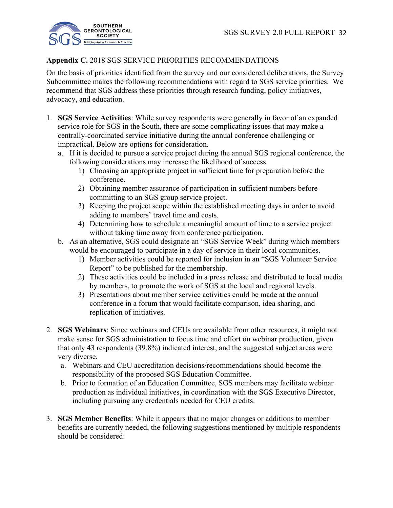

## **Appendix C.** 2018 SGS SERVICE PRIORITIES RECOMMENDATIONS

On the basis of priorities identified from the survey and our considered deliberations, the Survey Subcommittee makes the following recommendations with regard to SGS service priorities. We recommend that SGS address these priorities through research funding, policy initiatives, advocacy, and education.

- 1. **SGS Service Activities**: While survey respondents were generally in favor of an expanded service role for SGS in the South, there are some complicating issues that may make a centrally-coordinated service initiative during the annual conference challenging or impractical. Below are options for consideration.
	- a. If it is decided to pursue a service project during the annual SGS regional conference, the following considerations may increase the likelihood of success.
		- 1) Choosing an appropriate project in sufficient time for preparation before the conference.
		- 2) Obtaining member assurance of participation in sufficient numbers before committing to an SGS group service project.
		- 3) Keeping the project scope within the established meeting days in order to avoid adding to members' travel time and costs.
		- 4) Determining how to schedule a meaningful amount of time to a service project without taking time away from conference participation.
	- b. As an alternative, SGS could designate an "SGS Service Week" during which members would be encouraged to participate in a day of service in their local communities.
		- 1) Member activities could be reported for inclusion in an "SGS Volunteer Service Report" to be published for the membership.
		- 2) These activities could be included in a press release and distributed to local media by members, to promote the work of SGS at the local and regional levels.
		- 3) Presentations about member service activities could be made at the annual conference in a forum that would facilitate comparison, idea sharing, and replication of initiatives.
- 2. **SGS Webinars**: Since webinars and CEUs are available from other resources, it might not make sense for SGS administration to focus time and effort on webinar production, given that only 43 respondents (39.8%) indicated interest, and the suggested subject areas were very diverse.
	- a. Webinars and CEU accreditation decisions/recommendations should become the responsibility of the proposed SGS Education Committee.
	- b. Prior to formation of an Education Committee, SGS members may facilitate webinar production as individual initiatives, in coordination with the SGS Executive Director, including pursuing any credentials needed for CEU credits.
- 3. **SGS Member Benefits**: While it appears that no major changes or additions to member benefits are currently needed, the following suggestions mentioned by multiple respondents should be considered: